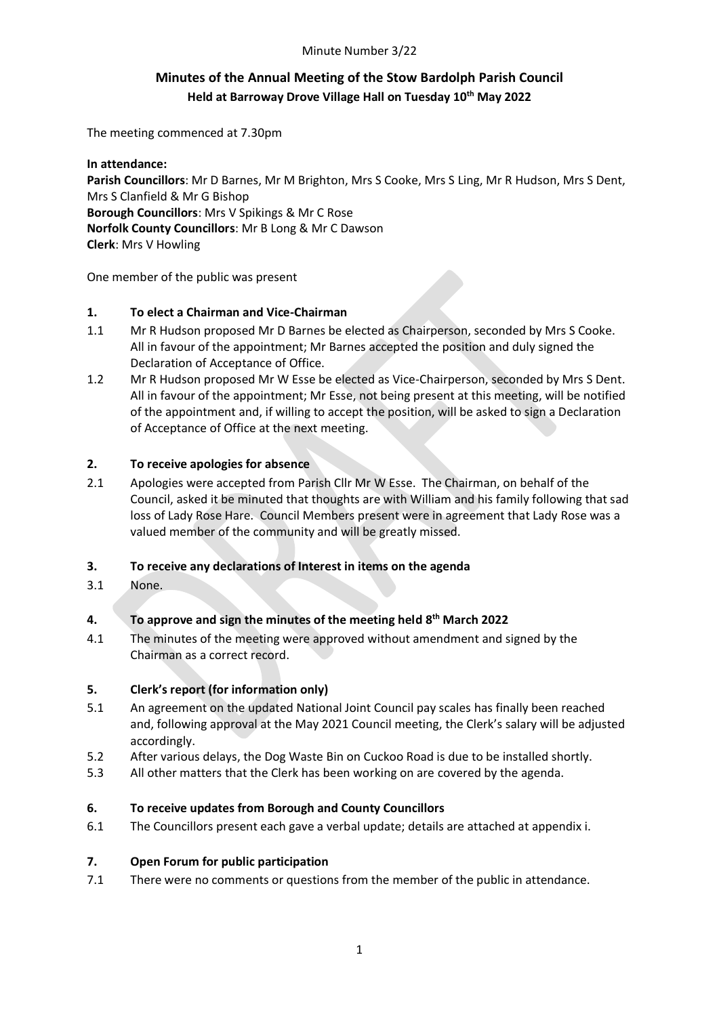### Minute Number 3/22

# **Minutes of the Annual Meeting of the Stow Bardolph Parish Council Held at Barroway Drove Village Hall on Tuesday 10th May 2022**

The meeting commenced at 7.30pm

**In attendance: Parish Councillors**: Mr D Barnes, Mr M Brighton, Mrs S Cooke, Mrs S Ling, Mr R Hudson, Mrs S Dent, Mrs S Clanfield & Mr G Bishop **Borough Councillors**: Mrs V Spikings & Mr C Rose **Norfolk County Councillors**: Mr B Long & Mr C Dawson **Clerk**: Mrs V Howling

One member of the public was present

### **1. To elect a Chairman and Vice-Chairman**

- 1.1 Mr R Hudson proposed Mr D Barnes be elected as Chairperson, seconded by Mrs S Cooke. All in favour of the appointment; Mr Barnes accepted the position and duly signed the Declaration of Acceptance of Office.
- 1.2 Mr R Hudson proposed Mr W Esse be elected as Vice-Chairperson, seconded by Mrs S Dent. All in favour of the appointment; Mr Esse, not being present at this meeting, will be notified of the appointment and, if willing to accept the position, will be asked to sign a Declaration of Acceptance of Office at the next meeting.

### **2. To receive apologies for absence**

2.1 Apologies were accepted from Parish Cllr Mr W Esse. The Chairman, on behalf of the Council, asked it be minuted that thoughts are with William and his family following that sad loss of Lady Rose Hare. Council Members present were in agreement that Lady Rose was a valued member of the community and will be greatly missed.

### **3. To receive any declarations of Interest in items on the agenda**

3.1 None.

### **4. To approve and sign the minutes of the meeting held 8 th March 2022**

4.1 The minutes of the meeting were approved without amendment and signed by the Chairman as a correct record.

#### **5. Clerk's report (for information only)**

- 5.1 An agreement on the updated National Joint Council pay scales has finally been reached and, following approval at the May 2021 Council meeting, the Clerk's salary will be adjusted accordingly.
- 5.2 After various delays, the Dog Waste Bin on Cuckoo Road is due to be installed shortly.
- 5.3 All other matters that the Clerk has been working on are covered by the agenda.

#### **6. To receive updates from Borough and County Councillors**

6.1 The Councillors present each gave a verbal update; details are attached at appendix i.

#### **7. Open Forum for public participation**

7.1 There were no comments or questions from the member of the public in attendance.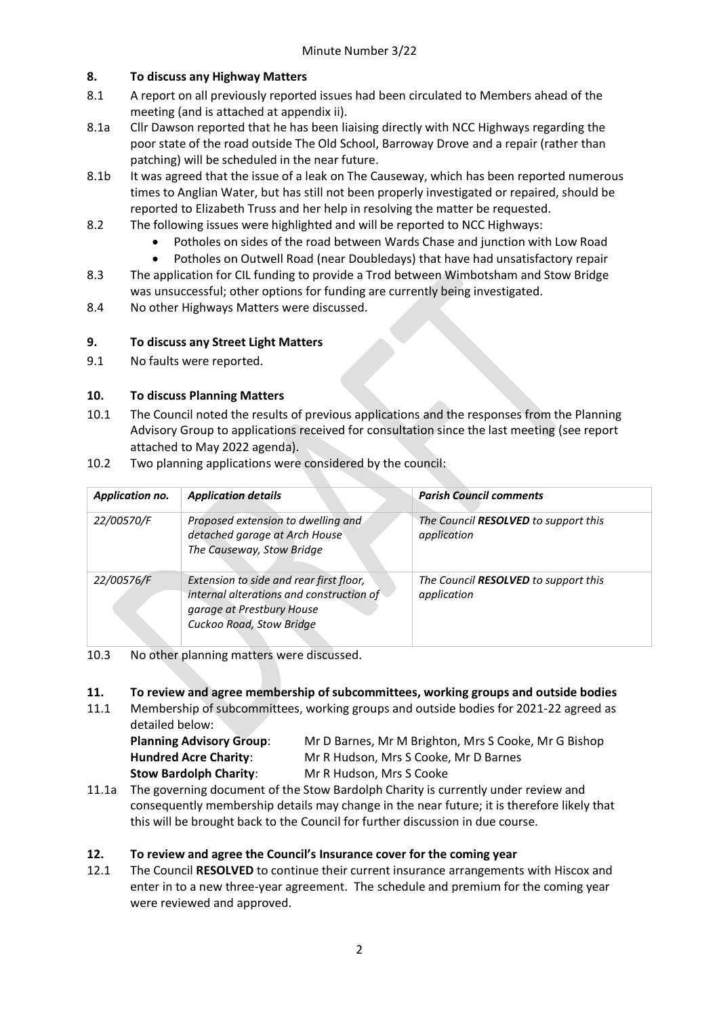### **8. To discuss any Highway Matters**

- 8.1 A report on all previously reported issues had been circulated to Members ahead of the meeting (and is attached at appendix ii).
- 8.1a Cllr Dawson reported that he has been liaising directly with NCC Highways regarding the poor state of the road outside The Old School, Barroway Drove and a repair (rather than patching) will be scheduled in the near future.
- 8.1b It was agreed that the issue of a leak on The Causeway, which has been reported numerous times to Anglian Water, but has still not been properly investigated or repaired, should be reported to Elizabeth Truss and her help in resolving the matter be requested.
- 8.2 The following issues were highlighted and will be reported to NCC Highways:
	- Potholes on sides of the road between Wards Chase and junction with Low Road
	- Potholes on Outwell Road (near Doubledays) that have had unsatisfactory repair
- 8.3 The application for CIL funding to provide a Trod between Wimbotsham and Stow Bridge was unsuccessful; other options for funding are currently being investigated.
- 8.4 No other Highways Matters were discussed.

### **9. To discuss any Street Light Matters**

9.1 No faults were reported.

### **10. To discuss Planning Matters**

- 10.1 The Council noted the results of previous applications and the responses from the Planning Advisory Group to applications received for consultation since the last meeting (see report attached to May 2022 agenda).
- 10.2 Two planning applications were considered by the council:

| Application no. | <b>Application details</b>                                                                                                                   | <b>Parish Council comments</b>                             |  |
|-----------------|----------------------------------------------------------------------------------------------------------------------------------------------|------------------------------------------------------------|--|
| 22/00570/F      | Proposed extension to dwelling and<br>detached garage at Arch House<br>The Causeway, Stow Bridge                                             | The Council <b>RESOLVED</b> to support this<br>application |  |
| 22/00576/F      | Extension to side and rear first floor,<br>internal alterations and construction of<br>garage at Prestbury House<br>Cuckoo Road, Stow Bridge | The Council RESOLVED to support this<br>application        |  |

10.3 No other planning matters were discussed.

### **11. To review and agree membership of subcommittees, working groups and outside bodies**

11.1 Membership of subcommittees, working groups and outside bodies for 2021-22 agreed as detailed below:

**Stow Bardolph Charity:** Mr R Hudson, Mrs S Cooke

**Planning Advisory Group**: Mr D Barnes, Mr M Brighton, Mrs S Cooke, Mr G Bishop **Hundred Acre Charity**: Mr R Hudson, Mrs S Cooke, Mr D Barnes

11.1a The governing document of the Stow Bardolph Charity is currently under review and consequently membership details may change in the near future; it is therefore likely that this will be brought back to the Council for further discussion in due course.

# **12. To review and agree the Council's Insurance cover for the coming year**

12.1 The Council **RESOLVED** to continue their current insurance arrangements with Hiscox and enter in to a new three-year agreement. The schedule and premium for the coming year were reviewed and approved.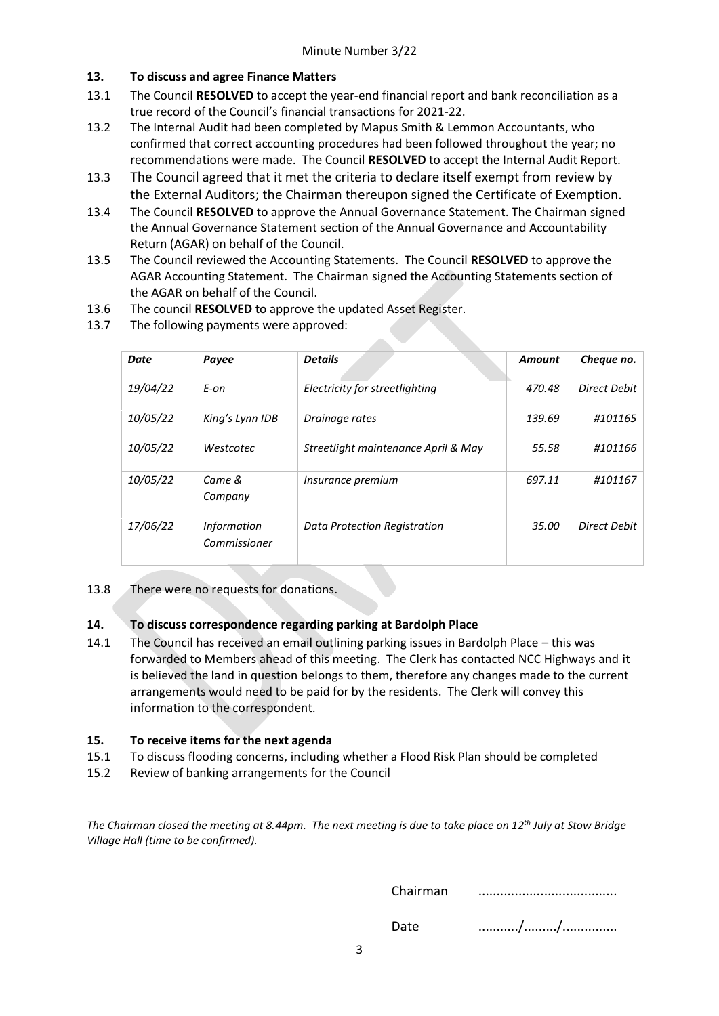### **13. To discuss and agree Finance Matters**

- 13.1 The Council **RESOLVED** to accept the year-end financial report and bank reconciliation as a true record of the Council's financial transactions for 2021-22.
- 13.2 The Internal Audit had been completed by Mapus Smith & Lemmon Accountants, who confirmed that correct accounting procedures had been followed throughout the year; no recommendations were made. The Council **RESOLVED** to accept the Internal Audit Report.
- 13.3 The Council agreed that it met the criteria to declare itself exempt from review by the External Auditors; the Chairman thereupon signed the Certificate of Exemption.
- 13.4 The Council **RESOLVED** to approve the Annual Governance Statement. The Chairman signed the Annual Governance Statement section of the Annual Governance and Accountability Return (AGAR) on behalf of the Council.
- 13.5 The Council reviewed the Accounting Statements. The Council **RESOLVED** to approve the AGAR Accounting Statement. The Chairman signed the Accounting Statements section of the AGAR on behalf of the Council.
- 13.6 The council **RESOLVED** to approve the updated Asset Register.
- 13.7 The following payments were approved:

| Date     | Payee                              | <b>Details</b>                      | <b>Amount</b> | Cheque no.   |
|----------|------------------------------------|-------------------------------------|---------------|--------------|
| 19/04/22 | E-on                               | Electricity for streetlighting      | 470.48        | Direct Debit |
| 10/05/22 | King's Lynn IDB                    | Drainage rates                      | 139.69        | #101165      |
| 10/05/22 | Westcotec                          | Streetlight maintenance April & May | 55.58         | #101166      |
| 10/05/22 | Came &<br>Company                  | Insurance premium                   | 697.11        | #101167      |
| 17/06/22 | <b>Information</b><br>Commissioner | Data Protection Registration        | 35.00         | Direct Debit |

### 13.8 There were no requests for donations.

### **14. To discuss correspondence regarding parking at Bardolph Place**

14.1 The Council has received an email outlining parking issues in Bardolph Place – this was forwarded to Members ahead of this meeting. The Clerk has contacted NCC Highways and it is believed the land in question belongs to them, therefore any changes made to the current arrangements would need to be paid for by the residents. The Clerk will convey this information to the correspondent.

### **15. To receive items for the next agenda**

- 15.1 To discuss flooding concerns, including whether a Flood Risk Plan should be completed
- 15.2 Review of banking arrangements for the Council

*The Chairman closed the meeting at 8.44pm. The next meeting is due to take place on 12 th July at Stow Bridge Village Hall (time to be confirmed).*

Chairman ......................................

Date .........../........./...............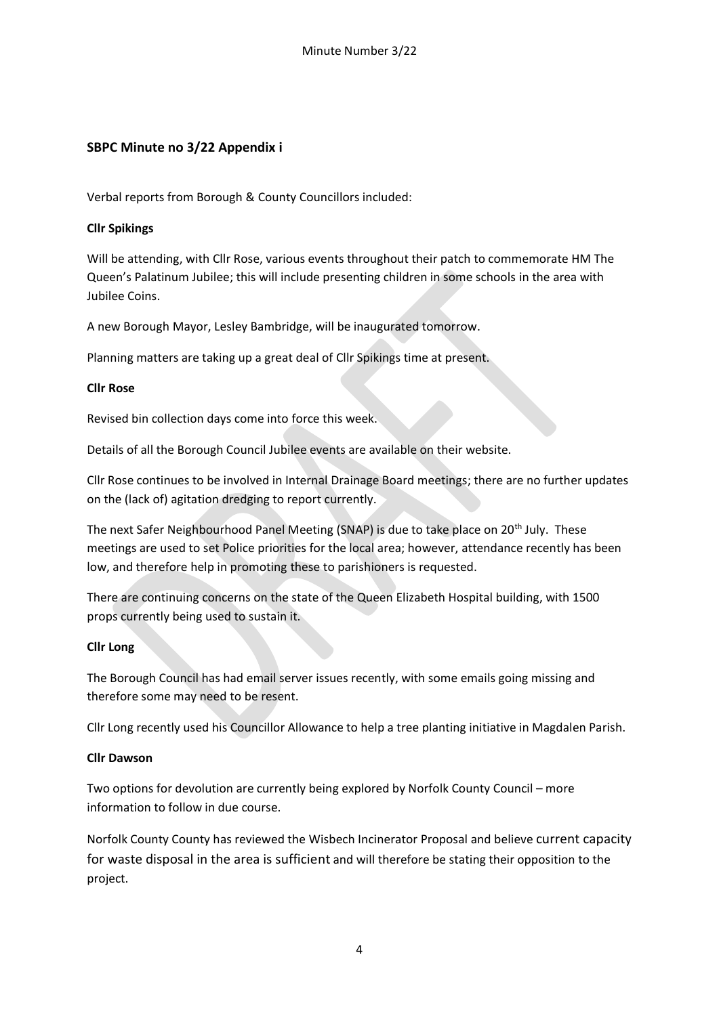# **SBPC Minute no 3/22 Appendix i**

Verbal reports from Borough & County Councillors included:

### **Cllr Spikings**

Will be attending, with Cllr Rose, various events throughout their patch to commemorate HM The Queen's Palatinum Jubilee; this will include presenting children in some schools in the area with Jubilee Coins.

A new Borough Mayor, Lesley Bambridge, will be inaugurated tomorrow.

Planning matters are taking up a great deal of Cllr Spikings time at present.

### **Cllr Rose**

Revised bin collection days come into force this week.

Details of all the Borough Council Jubilee events are available on their website.

Cllr Rose continues to be involved in Internal Drainage Board meetings; there are no further updates on the (lack of) agitation dredging to report currently.

The next Safer Neighbourhood Panel Meeting (SNAP) is due to take place on 20<sup>th</sup> July. These meetings are used to set Police priorities for the local area; however, attendance recently has been low, and therefore help in promoting these to parishioners is requested.

There are continuing concerns on the state of the Queen Elizabeth Hospital building, with 1500 props currently being used to sustain it.

### **Cllr Long**

The Borough Council has had email server issues recently, with some emails going missing and therefore some may need to be resent.

Cllr Long recently used his Councillor Allowance to help a tree planting initiative in Magdalen Parish.

### **Cllr Dawson**

Two options for devolution are currently being explored by Norfolk County Council – more information to follow in due course.

Norfolk County County has reviewed the Wisbech Incinerator Proposal and believe current capacity for waste disposal in the area is sufficient and will therefore be stating their opposition to the project.